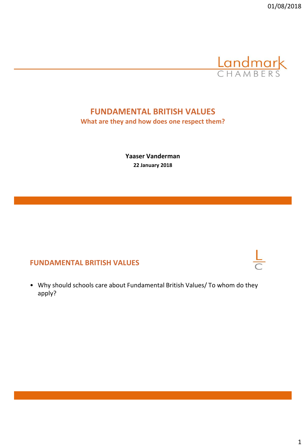

# **FUNDAMENTAL BRITISH VALUES**

**What are they and how does one respect them?**

**Yaaser Vanderman 22 January 2018**

#### **FUNDAMENTAL BRITISH VALUES**

• Why should schools care about Fundamental British Values/ To whom do they apply?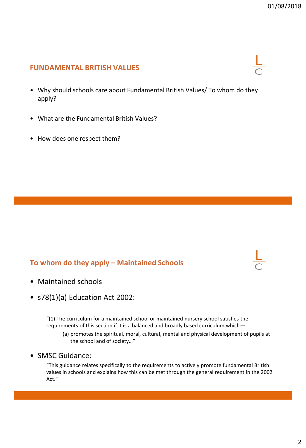#### **FUNDAMENTAL BRITISH VALUES**

- Why should schools care about Fundamental British Values/ To whom do they apply?
- What are the Fundamental British Values?
- How does one respect them?

#### **To whom do they apply – Maintained Schools**

- Maintained schools
- s78(1)(a) Education Act 2002:

"(1) The curriculum for a maintained school or maintained nursery school satisfies the requirements of this section if it is a balanced and broadly based curriculum which—

- (a) promotes the spiritual, moral, cultural, mental and physical development of pupils at the school and of society…"
- SMSC Guidance:

"This guidance relates specifically to the requirements to actively promote fundamental British values in schools and explains how this can be met through the general requirement in the 2002 Act."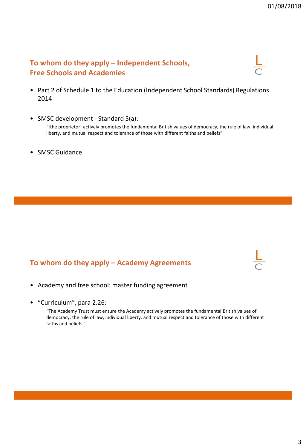#### **To whom do they apply – Independent Schools, Free Schools and Academies**

- Part 2 of Schedule 1 to the Education (Independent School Standards) Regulations 2014
- SMSC development Standard 5(a):

"[the proprietor] actively promotes the fundamental British values of democracy, the rule of law, individual liberty, and mutual respect and tolerance of those with different faiths and beliefs"

• SMSC Guidance

#### **To whom do they apply – Academy Agreements**

- Academy and free school: master funding agreement
- "Curriculum", para 2.26:

"The Academy Trust must ensure the Academy actively promotes the fundamental British values of democracy, the rule of law, individual liberty, and mutual respect and tolerance of those with different faiths and beliefs."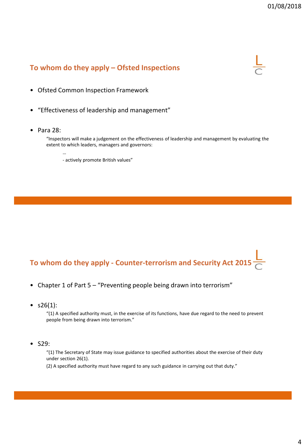### **To whom do they apply – Ofsted Inspections**



- Ofsted Common Inspection Framework
- "Effectiveness of leadership and management"
- Para 28:

…

"Inspectors will make a judgement on the effectiveness of leadership and management by evaluating the extent to which leaders, managers and governors:

- actively promote British values"

# **To whom do they apply - Counter-terrorism and Security Act 2015**

- Chapter 1 of Part 5 "Preventing people being drawn into terrorism"
- $s26(1)$ :

"(1) A specified authority must, in the exercise of its functions, have due regard to the need to prevent people from being drawn into terrorism."

• S29:

"(1) The Secretary of State may issue guidance to specified authorities about the exercise of their duty under section 26(1).

(2) A specified authority must have regard to any such guidance in carrying out that duty."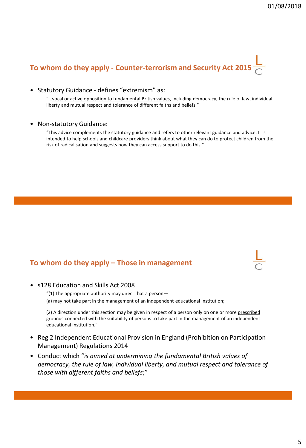# **To whom do they apply - Counter-terrorism and Security Act 2015**

• Statutory Guidance - defines "extremism" as:

"…vocal or active opposition to fundamental British values, including democracy, the rule of law, individual liberty and mutual respect and tolerance of different faiths and beliefs."

• Non-statutory Guidance:

"This advice complements the statutory guidance and refers to other relevant guidance and advice. It is intended to help schools and childcare providers think about what they can do to protect children from the risk of radicalisation and suggests how they can access support to do this."

#### **To whom do they apply – Those in management**

| ۰ |  |  |
|---|--|--|
|   |  |  |
| I |  |  |

• s128 Education and Skills Act 2008

…

- "(1) The appropriate authority may direct that a person-
- (a) may not take part in the management of an independent educational institution;

(2) A direction under this section may be given in respect of a person only on one or more prescribed grounds connected with the suitability of persons to take part in the management of an independent educational institution."

- Reg 2 Independent Educational Provision in England (Prohibition on Participation Management) Regulations 2014
- Conduct which "*is aimed at undermining the fundamental British values of democracy, the rule of law, individual liberty, and mutual respect and tolerance of those with different faiths and beliefs*;"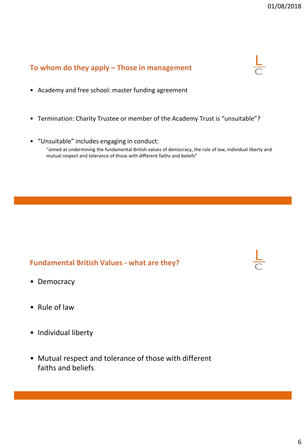#### **To whom do they apply – Those in management**

- Academy and free school: master funding agreement
- Termination: Charity Trustee or member of the Academy Trust is "unsuitable"?
- "Unsuitable" includes engaging in conduct: "aimed at undermining the fundamental British values of democracy, the rule of law, individual liberty and mutual respect and tolerance of those with different faiths and beliefs"

#### **Fundamental British Values - what are they?**

- Democracy
- Rule of law
- Individual liberty
- Mutual respect and tolerance of those with different faiths and beliefs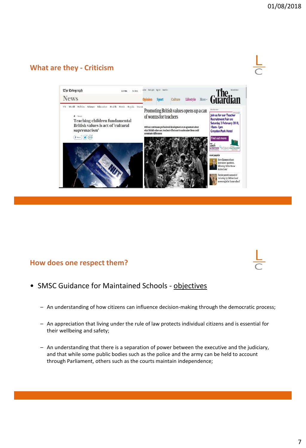# **What are they - Criticism**



#### **How does one respect them?**

- SMSC Guidance for Maintained Schools objectives
	- An understanding of how citizens can influence decision-making through the democratic process;
	- An appreciation that living under the rule of law protects individual citizens and is essential for their wellbeing and safety;
	- An understanding that there is a separation of power between the executive and the judiciary, and that while some public bodies such as the police and the army can be held to account through Parliament, others such as the courts maintain independence;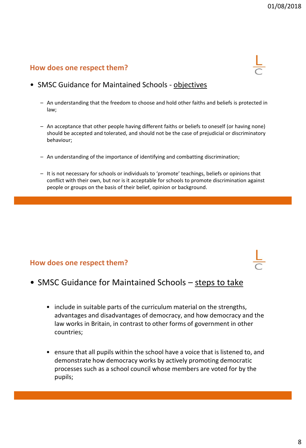#### **How does one respect them?**

#### • SMSC Guidance for Maintained Schools - objectives

- An understanding that the freedom to choose and hold other faiths and beliefs is protected in law;
- An acceptance that other people having different faiths or beliefs to oneself (or having none) should be accepted and tolerated, and should not be the case of prejudicial or discriminatory behaviour;
- An understanding of the importance of identifying and combatting discrimination;
- It is not necessary for schools or individuals to 'promote' teachings, beliefs or opinions that conflict with their own, but nor is it acceptable for schools to promote discrimination against people or groups on the basis of their belief, opinion or background.

#### **How does one respect them?**

#### • SMSC Guidance for Maintained Schools – steps to take

- include in suitable parts of the curriculum material on the strengths, advantages and disadvantages of democracy, and how democracy and the law works in Britain, in contrast to other forms of government in other countries;
- ensure that all pupils within the school have a voice that is listened to, and demonstrate how democracy works by actively promoting democratic processes such as a school council whose members are voted for by the pupils;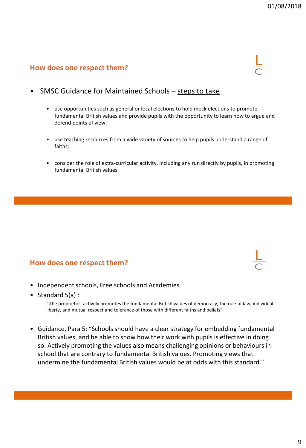#### **How does one respect them?**

- SMSC Guidance for Maintained Schools steps to take
	- use opportunities such as general or local elections to hold mock elections to promote fundamental British values and provide pupils with the opportunity to learn how to argue and defend points of view;
	- use teaching resources from a wide variety of sources to help pupils understand a range of faiths;
	- consider the role of extra-curricular activity, including any run directly by pupils, in promoting fundamental British values.

#### **How does one respect them?**

- Independent schools, Free schools and Academies
- Standard 5(a) :

"[the proprietor] actively promotes the fundamental British values of democracy, the rule of law, individual liberty, and mutual respect and tolerance of those with different faiths and beliefs"

• Guidance, Para 5: "Schools should have a clear strategy for embedding fundamental British values, and be able to show how their work with pupils is effective in doing so. Actively promoting the values also means challenging opinions or behaviours in school that are contrary to fundamental British values. Promoting views that undermine the fundamental British values would be at odds with this standard."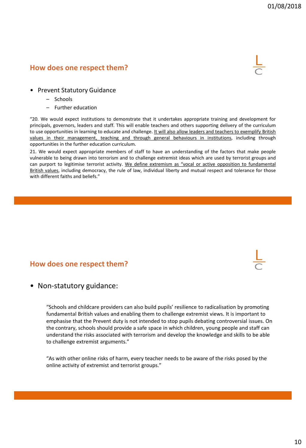#### **How does one respect them?**



- Prevent Statutory Guidance
	- Schools
	- Further education

"20. We would expect institutions to demonstrate that it undertakes appropriate training and development for principals, governors, leaders and staff. This will enable teachers and others supporting delivery of the curriculum to use opportunities in learning to educate and challenge. It will also allow leaders and teachers to exemplify British values in their management, teaching and through general behaviours in institutions, including through opportunities in the further education curriculum.

21. We would expect appropriate members of staff to have an understanding of the factors that make people vulnerable to being drawn into terrorism and to challenge extremist ideas which are used by terrorist groups and can purport to legitimise terrorist activity. We define extremism as "vocal or active opposition to fundamental British values, including democracy, the rule of law, individual liberty and mutual respect and tolerance for those with different faiths and beliefs."

#### **How does one respect them?**

• Non-statutory guidance:

"Schools and childcare providers can also build pupils' resilience to radicalisation by promoting fundamental British values and enabling them to challenge extremist views. It is important to emphasise that the Prevent duty is not intended to stop pupils debating controversial issues. On the contrary, schools should provide a safe space in which children, young people and staff can understand the risks associated with terrorism and develop the knowledge and skills to be able to challenge extremist arguments."

"As with other online risks of harm, every teacher needs to be aware of the risks posed by the online activity of extremist and terrorist groups."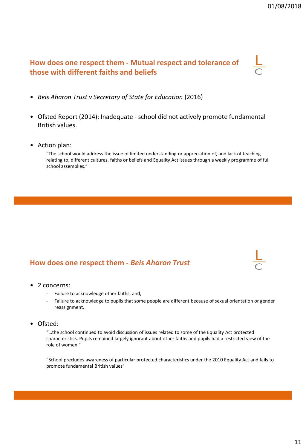# **How does one respect them - Mutual respect and tolerance of those with different faiths and beliefs**

- *Beis Aharon Trust v Secretary of State for Education* (2016)
- Ofsted Report (2014): Inadequate school did not actively promote fundamental British values.
- Action plan:

"The school would address the issue of limited understanding or appreciation of, and lack of teaching relating to, different cultures, faiths or beliefs and Equality Act issues through a weekly programme of full school assemblies."

#### **How does one respect them -** *Beis Aharon Trust*

- 2 concerns:
	- Failure to acknowledge other faiths; and,
	- Failure to acknowledge to pupils that some people are different because of sexual orientation or gender reassignment.
- Ofsted:

"…the school continued to avoid discussion of issues related to some of the Equality Act protected characteristics. Pupils remained largely ignorant about other faiths and pupils had a restricted view of the role of women."

"School precludes awareness of particular protected characteristics under the 2010 Equality Act and fails to promote fundamental British values"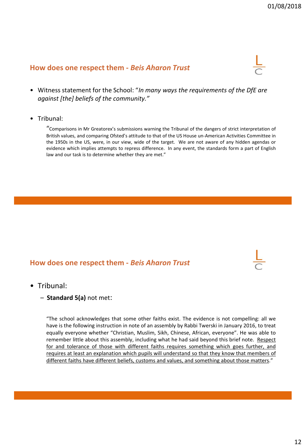#### **How does one respect them -** *Beis Aharon Trust*

- Witness statement for the School: "*In many ways the requirements of the DfE are against [the] beliefs of the community."*
- Tribunal:

"Comparisons in Mr Greatorex's submissions warning the Tribunal of the dangers of strict interpretation of British values, and comparing Ofsted's attitude to that of the US House un-American Activities Committee in the 1950s in the US, were, in our view, wide of the target. We are not aware of any hidden agendas or evidence which implies attempts to repress difference. In any event, the standards form a part of English law and our task is to determine whether they are met."

#### **How does one respect them -** *Beis Aharon Trust*

- Tribunal:
	- **Standard 5(a)** not met:

"The school acknowledges that some other faiths exist. The evidence is not compelling: all we have is the following instruction in note of an assembly by Rabbi Twerski in January 2016, to treat equally everyone whether "Christian, Muslim, Sikh, Chinese, African, everyone". He was able to remember little about this assembly, including what he had said beyond this brief note. Respect for and tolerance of those with different faiths requires something which goes further, and requires at least an explanation which pupils will understand so that they know that members of different faiths have different beliefs, customs and values, and something about those matters."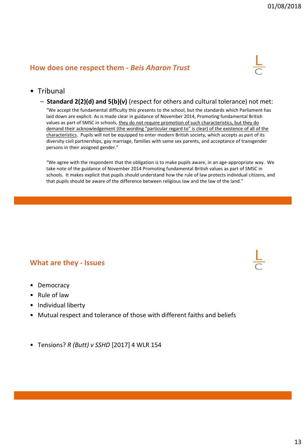#### **How does one respect them -** *Beis Aharon Trust*



#### • Tribunal

– **Standard 2(2)(d) and 5(b)(v)** (respect for others and cultural tolerance) not met:

"We accept the fundamental difficulty this presents to the school, but the standards which Parliament has laid down are explicit. As is made clear in guidance of November 2014, Promoting fundamental British values as part of SMSC in schools, they do not require promotion of such characteristics, but they do demand their acknowledgement (the wording "particular regard to" is clear) of the existence of all of the characteristics. Pupils will not be equipped to enter modern British society, which accepts as part of its diversity civil partnerships, gay marriage, families with same sex parents, and acceptance of transgender persons in their assigned gender."

"We agree with the respondent that the obligation is to make pupils aware, in an age-appropriate way. We take note of the guidance of November 2014 Promoting fundamental British values as part of SMSC in schools. It makes explicit that pupils should understand how the rule of law protects individual citizens, and that pupils should be aware of the difference between religious law and the law of the land."

#### **What are they - Issues**

- Democracy
- Rule of law
- Individual liberty
- Mutual respect and tolerance of those with different faiths and beliefs
- Tensions? *R (Butt) v SSHD* [2017] 4 WLR 154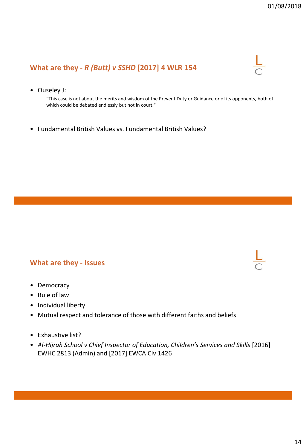# **What are they -** *R (Butt) v SSHD* **[2017] 4 WLR 154**

• Ouseley J:

"This case is not about the merits and wisdom of the Prevent Duty or Guidance or of its opponents, both of which could be debated endlessly but not in court."

• Fundamental British Values vs. Fundamental British Values?

#### **What are they - Issues**

- Democracy
- Rule of law
- Individual liberty
- Mutual respect and tolerance of those with different faiths and beliefs
- Exhaustive list?
- Al-Hijrah School v Chief Inspector of Education, Children's Services and Skills [2016] EWHC 2813 (Admin) and [2017] EWCA Civ 1426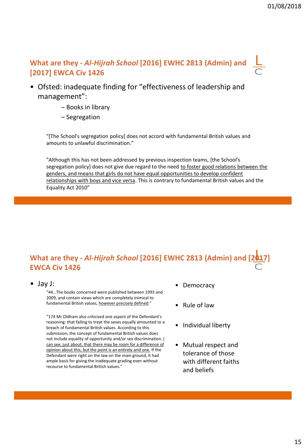# **What are they** *- Al-Hijrah School* **[2016] EWHC 2813 (Admin) and [2017] EWCA Civ 1426**

- Ofsted: inadequate finding for "effectiveness of leadership and management":
	- Books in library
	- Segregation

"[The School's segregation policy] does not accord with fundamental British values and amounts to unlawful discrimination."

"Although this has not been addressed by previous inspection teams, [the School's segregation policy] does not give due regard to the need to foster good relations between the genders, and means that girls do not have equal opportunities to develop confident relationships with boys and vice versa. This is contrary to fundamental British values and the Equality Act 2010"

# **What are they** *- Al-Hijrah School* **[2016] EWHC 2813 (Admin) and [2017] EWCA Civ 1426**

• Jay J:

"44…The books concerned were published between 1993 and 2009, and contain views which are completely inimical to fundamental British values, however precisely defined."

"174 Mr Oldham also criticised one aspect of the Defendant's reasoning: that failing to treat the sexes equally amounted to a breach of fundamental British values. According to this submission, the concept of fundamental British values does not include equality of opportunity and/or sex discrimination. I can see, just about, that there may be room for a difference of opinion about this, but the point is an entirely arid one. If the Defendant were right on the law on the main ground, it had ample basis for giving the inadequate grading even without recourse to fundamental British values."

- Democracy
- Rule of law
- Individual liberty
- Mutual respect and tolerance of those with different faiths and beliefs